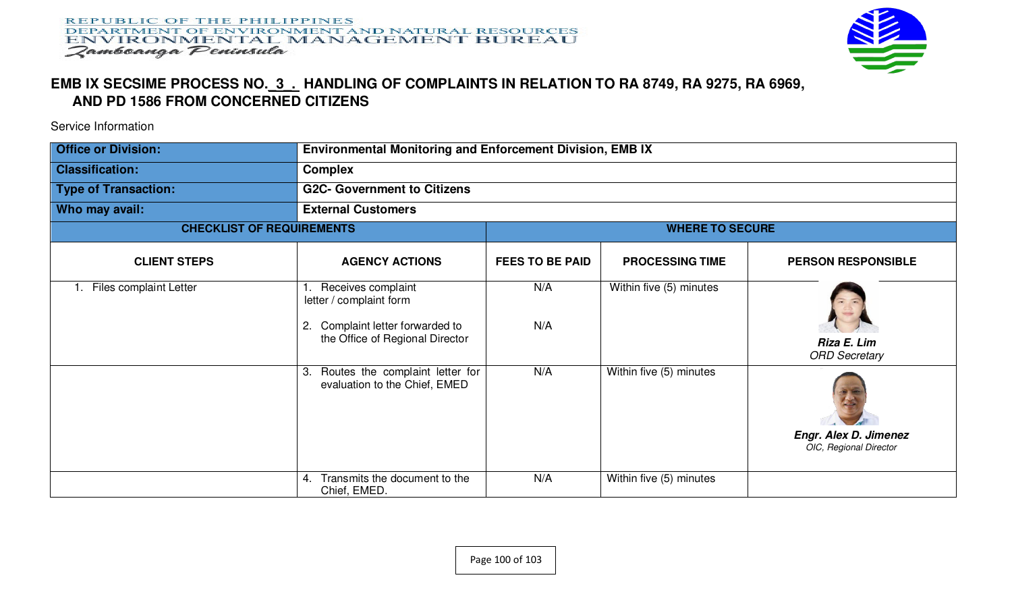

## **EMB IX SECSIME PROCESS NO.\_3\_. HANDLING OF COMPLAINTS IN RELATION TO RA 8749, RA 9275, RA 6969, AND PD 1586 FROM CONCERNED CITIZENS**

Service Information

| <b>Office or Division:</b>       | Environmental Monitoring and Enforcement Division, EMB IX                                                               |                        |                         |                                                        |  |
|----------------------------------|-------------------------------------------------------------------------------------------------------------------------|------------------------|-------------------------|--------------------------------------------------------|--|
| <b>Classification:</b>           | <b>Complex</b>                                                                                                          |                        |                         |                                                        |  |
| <b>Type of Transaction:</b>      | <b>G2C- Government to Citizens</b>                                                                                      |                        |                         |                                                        |  |
| Who may avail:                   | <b>External Customers</b>                                                                                               |                        |                         |                                                        |  |
| <b>CHECKLIST OF REQUIREMENTS</b> | <b>WHERE TO SECURE</b>                                                                                                  |                        |                         |                                                        |  |
| <b>CLIENT STEPS</b>              | <b>AGENCY ACTIONS</b>                                                                                                   | <b>FEES TO BE PAID</b> | <b>PROCESSING TIME</b>  | <b>PERSON RESPONSIBLE</b>                              |  |
| Files complaint Letter           | Receives complaint<br>letter / complaint form<br>Complaint letter forwarded to<br>2.<br>the Office of Regional Director | N/A<br>N/A             | Within five (5) minutes | Riza E. Lim<br><b>ORD Secretary</b>                    |  |
|                                  | Routes the complaint letter for<br>3.<br>evaluation to the Chief, EMED                                                  | N/A                    | Within five (5) minutes | <b>Engr. Alex D. Jimenez</b><br>OIC, Regional Director |  |
|                                  | Transmits the document to the<br>4.<br>Chief, EMED.                                                                     | N/A                    | Within five (5) minutes |                                                        |  |

Page 100 of 103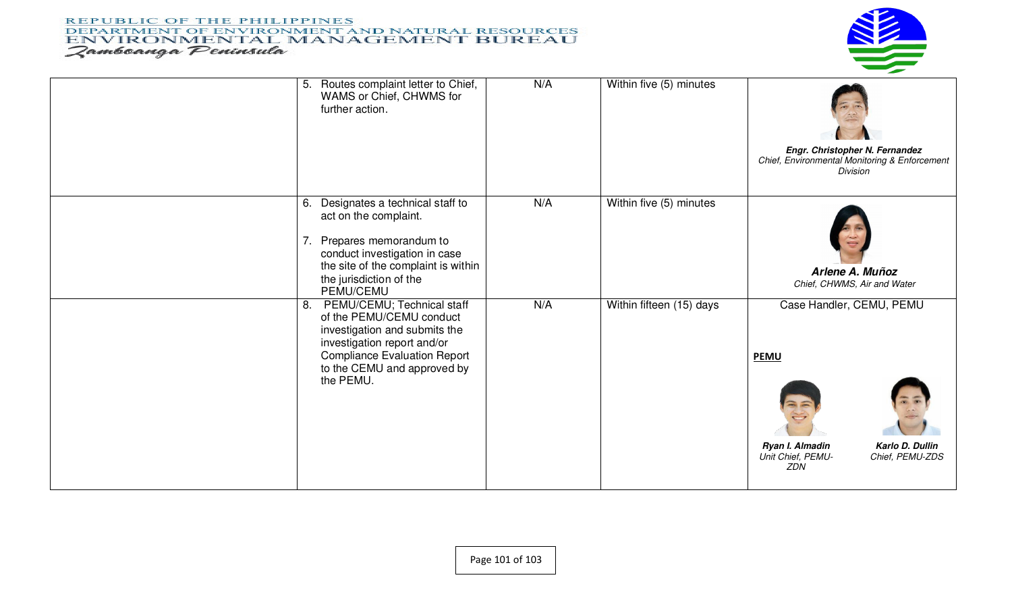## **REPUBLIC OF THE PHILIPPINES** DEPARTMENT OF ENVIRONMENT AND NATURAL RESOURCES ENVIRONMENTAL MANAGEMENT BUREAU Zamboanga Peninsula



| 5. | Routes complaint letter to Chief,<br>WAMS or Chief, CHWMS for<br>further action.                                                                                                                          | N/A | Within five (5) minutes  | Engr. Christopher N. Fernandez<br>Chief, Environmental Monitoring & Enforcement<br>Division                                  |
|----|-----------------------------------------------------------------------------------------------------------------------------------------------------------------------------------------------------------|-----|--------------------------|------------------------------------------------------------------------------------------------------------------------------|
| 7. | 6. Designates a technical staff to<br>act on the complaint.<br>Prepares memorandum to<br>conduct investigation in case<br>the site of the complaint is within<br>the jurisdiction of the<br>PEMU/CEMU     | N/A | Within five (5) minutes  | Arlene A. Muñoz<br>Chief, CHWMS, Air and Water                                                                               |
| 8. | PEMU/CEMU; Technical staff<br>of the PEMU/CEMU conduct<br>investigation and submits the<br>investigation report and/or<br><b>Compliance Evaluation Report</b><br>to the CEMU and approved by<br>the PEMU. | N/A | Within fifteen (15) days | Case Handler, CEMU, PEMU<br><b>PEMU</b><br>Karlo D. Dullin<br>Ryan I. Almadin<br>Unit Chief, PEMU-<br>Chief, PEMU-ZDS<br>ZDN |

Page 101 of 103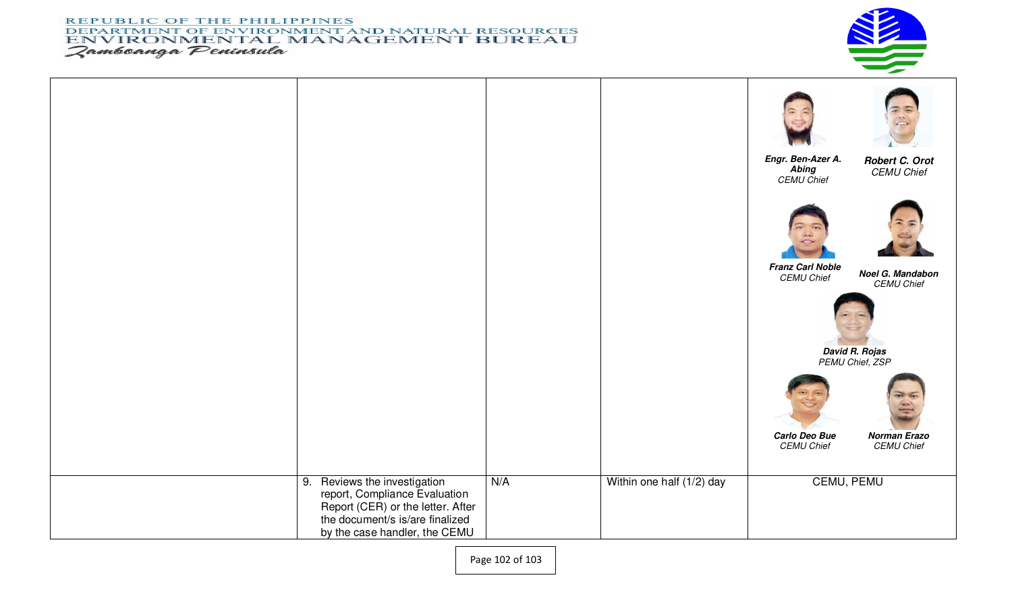## **REPUBLIC OF THE PHILIPPINES** DEPARTMENT OF ENVIRONMENT AND NATURAL RESOURCES ENVIRONMENTAL MANAGEMENT BUREAU Zamboanga Peninsula



|                                                                                                                                                                        |     |                           | Engr. Ben-Azer A.<br><b>Abing</b><br><b>CEMU Chief</b> | Robert C. Orot<br><b>CEMU Chief</b>      |
|------------------------------------------------------------------------------------------------------------------------------------------------------------------------|-----|---------------------------|--------------------------------------------------------|------------------------------------------|
|                                                                                                                                                                        |     |                           | <b>Franz Carl Noble</b><br><b>CEMU Chief</b>           | Noel G. Mandabon                         |
|                                                                                                                                                                        |     |                           | <b>CEMU Chief</b><br>David R. Rojas<br>PEMU Chief, ZSP |                                          |
|                                                                                                                                                                        |     |                           | Carlo Deo Bue<br><b>CEMU Chief</b>                     | <b>Norman Erazo</b><br><b>CEMU Chief</b> |
| 9. Reviews the investigation<br>report, Compliance Evaluation<br>Report (CER) or the letter. After<br>the document/s is/are finalized<br>by the case handler, the CEMU | N/A | Within one half (1/2) day | <b>CEMU, PEMU</b>                                      |                                          |

Page 102 of 103